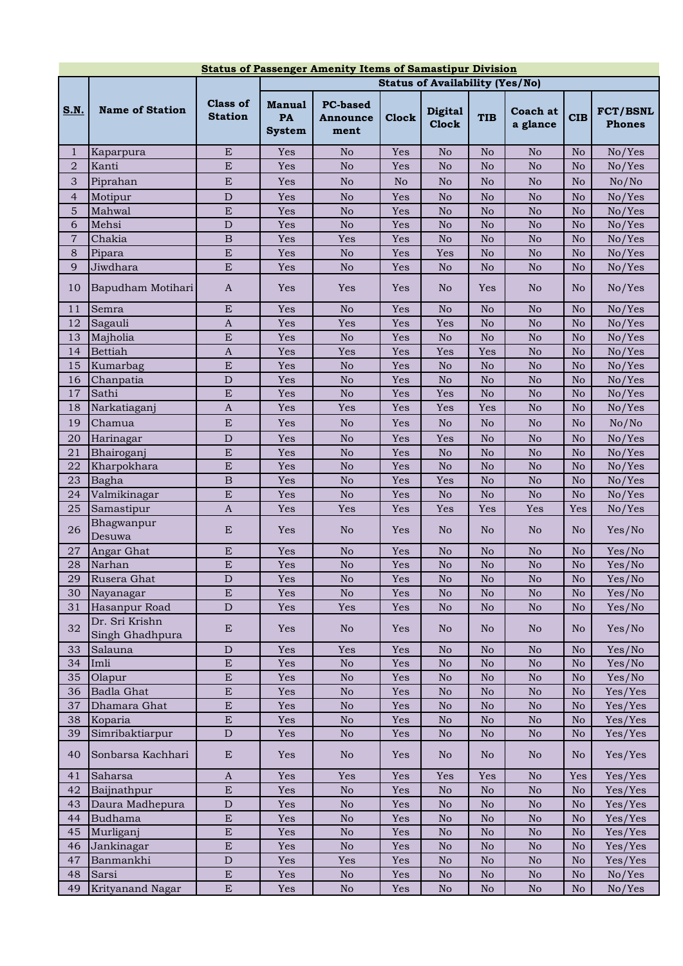| <b>Status of Passenger Amenity Items of Samastipur Division</b> |                                        |                                   |                                      |                                     |                |                                |                 |                        |                 |                                  |
|-----------------------------------------------------------------|----------------------------------------|-----------------------------------|--------------------------------------|-------------------------------------|----------------|--------------------------------|-----------------|------------------------|-----------------|----------------------------------|
|                                                                 | <b>Status of Availability (Yes/No)</b> |                                   |                                      |                                     |                |                                |                 |                        |                 |                                  |
| <u>S.N.</u>                                                     | <b>Name of Station</b>                 | <b>Class of</b><br><b>Station</b> | <b>Manual</b><br>PA<br><b>System</b> | <b>PC-based</b><br>Announce<br>ment | <b>Clock</b>   | <b>Digital</b><br><b>Clock</b> | <b>TIB</b>      | Coach at<br>a glance   | <b>CIB</b>      | <b>FCT/BSNL</b><br><b>Phones</b> |
| $\mathbf{1}$                                                    | Kaparpura                              | ${\bf E}$                         | Yes                                  | No                                  | Yes            | No                             | N <sub>o</sub>  | No                     | $\rm No$        | No/Yes                           |
| $\overline{2}$                                                  | Kanti                                  | E                                 | Yes                                  | No                                  | Yes            | No                             | N <sub>o</sub>  | $\rm No$               | No              | No/Yes                           |
| 3                                                               | Piprahan                               | ${\bf E}$                         | Yes                                  | N <sub>o</sub>                      | N <sub>o</sub> | No                             | N <sub>o</sub>  | N <sub>o</sub>         | N <sub>o</sub>  | No/No                            |
| $\overline{4}$                                                  | Motipur                                | ${\rm D}$                         | Yes                                  | $\rm No$                            | Yes            | No                             | No              | No                     | $\rm No$        | No/Yes                           |
| 5                                                               | Mahwal                                 | E                                 | Yes                                  | $\rm No$                            | Yes            | No                             | No              | No                     | $\rm No$        | No/Yes                           |
| 6                                                               | Mehsi                                  | $\mathbf D$                       | Yes                                  | No                                  | Yes            | No                             | No              | No                     | No              | No/Yes                           |
| $\overline{7}$                                                  | Chakia                                 | $\, {\bf B}$                      | Yes                                  | Yes                                 | Yes            | No                             | No              | No                     | No              | No/Yes                           |
| 8                                                               | Pipara                                 | E                                 | Yes                                  | N <sub>o</sub>                      | Yes            | Yes                            | No              | N <sub>o</sub>         | No              | No/Yes                           |
| 9                                                               | Jiwdhara                               | ${\bf E}$                         | Yes                                  | No                                  | Yes            | No                             | No              | N <sub>o</sub>         | No              | No/Yes                           |
| 10<br>11                                                        | Bapudham Motihari                      | $\mathbf{A}$<br>${\bf E}$         | Yes<br>Yes                           | Yes<br>$\rm No$                     | Yes<br>Yes     | No.<br>No                      | Yes<br>No       | N <sub>o</sub><br>No   | No.<br>$\rm No$ | No/Yes<br>No/Yes                 |
| 12                                                              | Semra<br>Sagauli                       | $\mathbf{A}$                      | Yes                                  | Yes                                 | Yes            | Yes                            | $\rm No$        | $\rm No$               | No              | No/Yes                           |
| 13                                                              | Majholia                               | E                                 | Yes                                  | $\rm No$                            | Yes            | No                             | No              | $\rm No$               | No              | No/Yes                           |
| 14                                                              | <b>Bettiah</b>                         | $\mathbf{A}$                      | Yes                                  | Yes                                 | Yes            | Yes                            | Yes             | $\rm No$               | No              | No/Yes                           |
| 15                                                              | Kumarbag                               | E                                 | Yes                                  | $\rm No$                            | Yes            | No                             | No              | $\rm No$               | No              | No/Yes                           |
| 16                                                              | Chanpatia                              | ${\rm D}$                         | Yes                                  | $\rm No$                            | Yes            | No                             | $\rm No$        | No                     | $\rm No$        | No/Yes                           |
| 17                                                              | Sathi                                  | ${\bf E}$                         | Yes                                  | $\rm No$                            | Yes            | Yes                            | $\rm No$        | No                     | $\rm No$        | No/Yes                           |
| 18                                                              | Narkatiaganj                           | $\boldsymbol{A}$                  | Yes                                  | Yes                                 | Yes            | Yes                            | Yes             | No                     | No              | No/Yes                           |
| 19                                                              | Chamua                                 | E                                 | Yes                                  | No                                  | Yes            | No                             | N <sub>o</sub>  | No                     | N <sub>o</sub>  | No/No                            |
| 20                                                              | Harinagar                              | ${\rm D}$                         | Yes                                  | $\rm No$                            | Yes            | Yes                            | No              | No                     | $\rm No$        | No/Yes                           |
| 21                                                              | Bhairoganj                             | ${\bf E}$                         | Yes                                  | N <sub>o</sub>                      | Yes            | No                             | No              | No                     | No              | No/Yes                           |
| 22                                                              | Kharpokhara                            | E                                 | Yes                                  | N <sub>o</sub>                      | Yes            | N <sub>o</sub>                 | No              | N <sub>o</sub>         | No              | No/Yes                           |
| 23                                                              | Bagha                                  | $\mathbf B$                       | Yes                                  | N <sub>o</sub>                      | Yes            | Yes                            | N <sub>o</sub>  | N <sub>o</sub>         | No              | No/Yes                           |
| 24                                                              | Valmikinagar                           | E                                 | Yes                                  | N <sub>o</sub>                      | Yes            | N <sub>o</sub>                 | N <sub>o</sub>  | $\rm No$               | No              | No/Yes                           |
| 25                                                              | Samastipur                             | $\mathbf{A}$                      | Yes                                  | Yes                                 | Yes            | Yes                            | Yes             | Yes                    | Yes             | No/Yes                           |
| 26                                                              | Bhagwanpur<br>Desuwa                   | ${\bf E}$                         | Yes                                  | N <sub>o</sub>                      | Yes            | N <sub>o</sub>                 | N <sub>o</sub>  | N <sub>o</sub>         | N <sub>o</sub>  | Yes/No                           |
| 27                                                              | Angar Ghat                             | ${\bf E}$                         | Yes                                  | $\rm No$                            | Yes            | No                             | No              | No                     | $\rm No$        | Yes/No                           |
| 28                                                              | Narhan                                 | $\overline{E}$                    | Yes                                  | $\rm No$                            | Yes            | No                             | No              | $\rm No$               | $\rm No$        | Yes/No                           |
| 29                                                              | Rusera Ghat                            | $\overline{\text{D}}$             | Yes                                  | $\overline{\text{No}}$              | Yes            | $\mathbf{N}\mathbf{o}$         | $\overline{No}$ | $\overline{\text{No}}$ | $\overline{No}$ | Yes/No                           |
| 30                                                              | Nayanagar                              | ${\bf E}$                         | Yes                                  | $\rm No$                            | Yes            | No                             | No              | $\rm No$               | No              | Yes/No                           |
| 31                                                              | Hasanpur Road                          | $\mathbf D$                       | Yes                                  | Yes                                 | Yes            | No                             | No              | $\rm No$               | No              | Yes/No                           |
| 32                                                              | Dr. Sri Krishn<br>Singh Ghadhpura      | ${\bf E}$                         | Yes                                  | No                                  | Yes            | No.                            | N <sub>o</sub>  | No                     | No.             | Yes/No                           |
| 33                                                              | Salauna                                | ${\rm D}$                         | Yes                                  | Yes                                 | Yes            | No                             | No              | No                     | N <sub>o</sub>  | Yes/No                           |
| 34                                                              | Imli                                   | ${\bf E}$                         | Yes                                  | $\rm No$                            | Yes            | N <sub>o</sub>                 | N <sub>o</sub>  | $\rm No$               | No.             | Yes/No                           |
| 35                                                              | Olapur                                 | ${\bf E}$                         | Yes                                  | $\rm No$                            | Yes            | No                             | $\rm No$        | $\rm No$               | N <sub>o</sub>  | Yes/No                           |
| 36                                                              | <b>Badla Ghat</b>                      | ${\bf E}$                         | Yes                                  | $\rm No$                            | Yes            | No                             | No              | No                     | No              | Yes/Yes                          |
| 37                                                              | Dhamara Ghat                           | ${\bf E}$                         | Yes                                  | $\rm No$                            | Yes            | No                             | $\rm No$        | $\rm No$               | No              | Yes/Yes                          |
| 38                                                              | Koparia                                | ${\bf E}$                         | Yes                                  | $\rm No$                            | Yes            | No                             | $\rm No$        | $\rm No$               | $\rm No$        | Yes/Yes                          |
| 39<br>40                                                        | Simribaktiarpur<br>Sonbarsa Kachhari   | $\mathbf D$<br>${\bf E}$          | Yes<br>Yes                           | $\rm No$<br>N <sub>o</sub>          | Yes<br>Yes     | $\rm No$<br>N <sub>o</sub>     | $\rm No$<br>No  | $\rm No$<br>No         | $\rm No$<br>No  | Yes/Yes<br>Yes/Yes               |
| 41                                                              | Saharsa                                | $\mathbf{A}$                      | Yes                                  | Yes                                 | Yes            | Yes                            | Yes             | $\rm No$               | Yes             | Yes/Yes                          |
| 42                                                              | Baijnathpur                            | ${\bf E}$                         | Yes                                  | No                                  | Yes            | N <sub>o</sub>                 | No              | No                     | No              | Yes/Yes                          |
| 43                                                              | Daura Madhepura                        | $\mathbf D$                       | Yes                                  | No                                  | Yes            | N <sub>o</sub>                 | N <sub>o</sub>  | No                     | No              | Yes/Yes                          |
| 44                                                              | Budhama                                | ${\bf E}$                         | Yes                                  | No                                  | Yes            | N <sub>o</sub>                 | No              | $\rm No$               | No              | Yes/Yes                          |
| 45                                                              | Murliganj                              | ${\bf E}$                         | Yes                                  | $\rm No$                            | Yes            | N <sub>o</sub>                 | N <sub>o</sub>  | $\rm No$               | N <sub>o</sub>  | Yes/Yes                          |
| 46                                                              | Jankinagar                             | ${\bf E}$                         | Yes                                  | $\rm No$                            | Yes            | $\rm No$                       | $\rm No$        | $\rm No$               | No              | Yes/Yes                          |
| 47                                                              | Banmankhi                              | $\mathbf D$                       | Yes                                  | Yes                                 | Yes            | No                             | $\rm No$        | $\rm No$               | No              | Yes/Yes                          |
| 48                                                              | Sarsi                                  | ${\bf E}$                         | Yes                                  | No                                  | Yes            | No                             | $\rm No$        | $\rm No$               | $\rm No$        | No/Yes                           |
| 49                                                              | Krityanand Nagar                       | ${\bf E}$                         | Yes                                  | $\rm No$                            | Yes            | No                             | No              | No                     | No              | No/Yes                           |